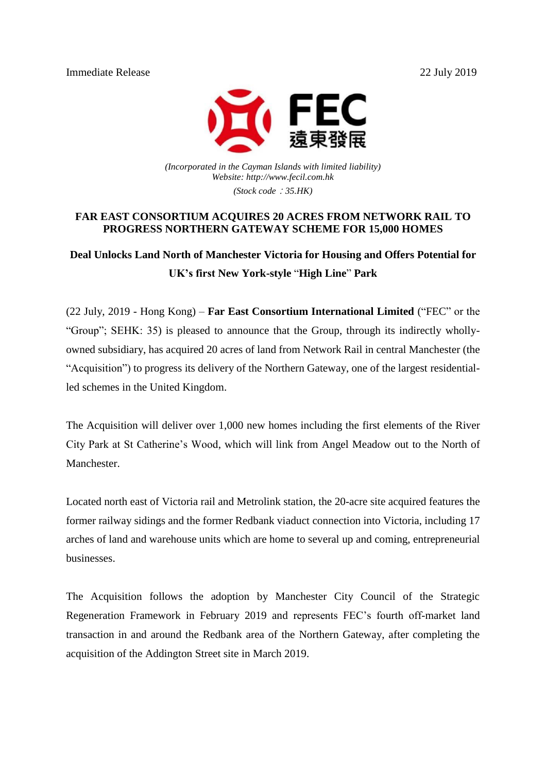Immediate Release 22 July 2019



*(Incorporated in the Cayman Islands with limited liability) Website: http://www.fecil.com.hk (Stock code*:*35.HK)*

### **FAR EAST CONSORTIUM ACQUIRES 20 ACRES FROM NETWORK RAIL TO PROGRESS NORTHERN GATEWAY SCHEME FOR 15,000 HOMES**

**Deal Unlocks Land North of Manchester Victoria for Housing and Offers Potential for UK's first New York-style** "**High Line**" **Park**

(22 July, 2019 - Hong Kong) – **Far East Consortium International Limited** ("FEC" or the "Group"; SEHK: 35) is pleased to announce that the Group, through its indirectly whollyowned subsidiary, has acquired 20 acres of land from Network Rail in central Manchester (the "Acquisition") to progress its delivery of the Northern Gateway, one of the largest residentialled schemes in the United Kingdom.

The Acquisition will deliver over 1,000 new homes including the first elements of the River City Park at St Catherine's Wood, which will link from Angel Meadow out to the North of Manchester.

Located north east of Victoria rail and Metrolink station, the 20-acre site acquired features the former railway sidings and the former Redbank viaduct connection into Victoria, including 17 arches of land and warehouse units which are home to several up and coming, entrepreneurial businesses.

The Acquisition follows the adoption by Manchester City Council of the Strategic Regeneration Framework in February 2019 and represents FEC's fourth off-market land transaction in and around the Redbank area of the Northern Gateway, after completing the acquisition of the Addington Street site in March 2019.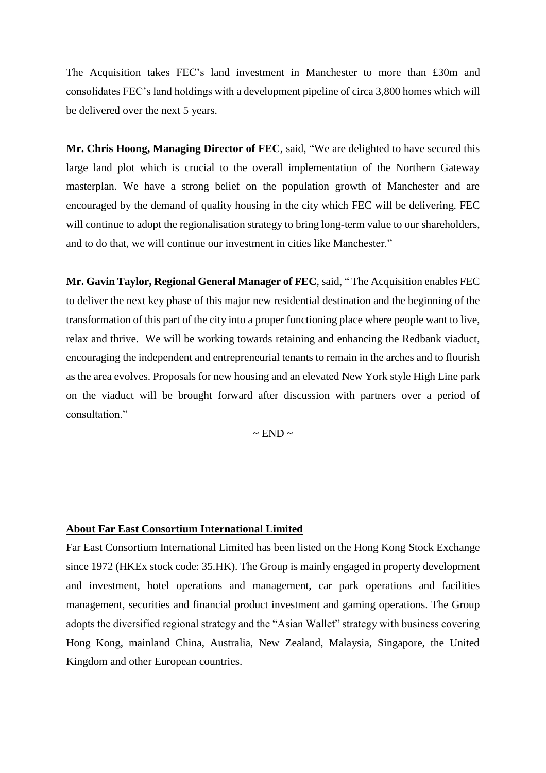The Acquisition takes FEC's land investment in Manchester to more than £30m and consolidates FEC's land holdings with a development pipeline of circa 3,800 homes which will be delivered over the next 5 years.

**Mr. Chris Hoong, Managing Director of FEC**, said, "We are delighted to have secured this large land plot which is crucial to the overall implementation of the Northern Gateway masterplan. We have a strong belief on the population growth of Manchester and are encouraged by the demand of quality housing in the city which FEC will be delivering. FEC will continue to adopt the regionalisation strategy to bring long-term value to our shareholders, and to do that, we will continue our investment in cities like Manchester."

**Mr. Gavin Taylor, Regional General Manager of FEC**, said, " The Acquisition enables FEC to deliver the next key phase of this major new residential destination and the beginning of the transformation of this part of the city into a proper functioning place where people want to live, relax and thrive. We will be working towards retaining and enhancing the Redbank viaduct, encouraging the independent and entrepreneurial tenants to remain in the arches and to flourish as the area evolves. Proposals for new housing and an elevated New York style High Line park on the viaduct will be brought forward after discussion with partners over a period of consultation."

 $\sim$  END  $\sim$ 

#### **About Far East Consortium International Limited**

Far East Consortium International Limited has been listed on the Hong Kong Stock Exchange since 1972 (HKEx stock code: 35.HK). The Group is mainly engaged in property development and investment, hotel operations and management, car park operations and facilities management, securities and financial product investment and gaming operations. The Group adopts the diversified regional strategy and the "Asian Wallet" strategy with business covering Hong Kong, mainland China, Australia, New Zealand, Malaysia, Singapore, the United Kingdom and other European countries.